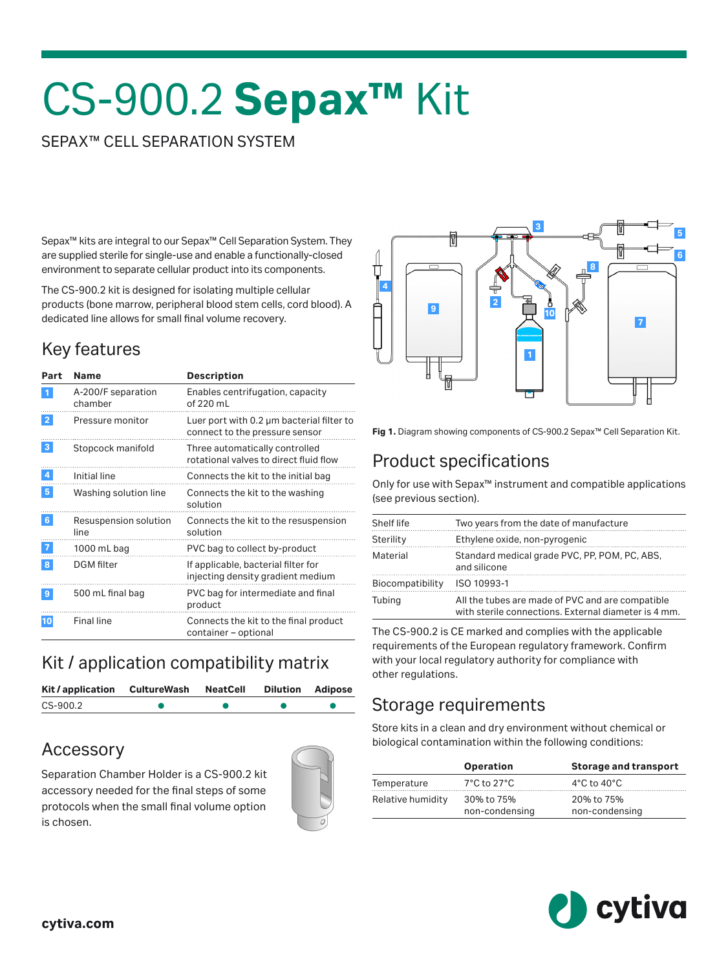# CS-900.2 **Sepax™** Kit

#### SEPAX™ CELL SEPARATION SYSTEM

Sepax™ kits are integral to our Sepax™ Cell Separation System. They are supplied sterile for single-use and enable a functionally-closed environment to separate cellular product into its components.

The CS-900.2 kit is designed for isolating multiple cellular products (bone marrow, peripheral blood stem cells, cord blood). A dedicated line allows for small final volume recovery.

## Key features

| Part            | <b>Name</b>                   | <b>Description</b>                                                          |
|-----------------|-------------------------------|-----------------------------------------------------------------------------|
| $\mathbf{1}$    | A-200/F separation<br>chamber | Enables centrifugation, capacity<br>of 220 mL                               |
| $\overline{2}$  | Pressure monitor              | Luer port with 0.2 µm bacterial filter to<br>connect to the pressure sensor |
| 3               | Stopcock manifold             | Three automatically controlled<br>rotational valves to direct fluid flow    |
| 4               | Initial line                  | Connects the kit to the initial bag                                         |
| $5\phantom{.0}$ | Washing solution line         | Connects the kit to the washing<br>solution                                 |
| 6 <sup>5</sup>  | Resuspension solution<br>line | Connects the kit to the resuspension<br>solution                            |
| 7               | 1000 mL bag                   | PVC bag to collect by-product                                               |
| 8               | <b>DGM</b> filter             | If applicable, bacterial filter for<br>injecting density gradient medium    |
| 9               | 500 mL final bag              | PVC bag for intermediate and final<br>product                               |
| 10              | Final line                    | Connects the kit to the final product<br>container - optional               |

#### Kit / application compatibility matrix

| Kit/application | CultureWash | <b>NeatCell</b> | <b>Dilution Adipose</b> |
|-----------------|-------------|-----------------|-------------------------|
| CS-900.2        |             |                 |                         |

#### Accessory

Separation Chamber Holder is a CS-900.2 kit accessory needed for the final steps of some protocols when the small final volume option is chosen.





**Fig 1.** Diagram showing components of CS-900.2 Sepax™ Cell Separation Kit.

## Product specifications

Only for use with Sepax™ instrument and compatible applications (see previous section).

| Shelf life       | Two years from the date of manufacture                                                                   |
|------------------|----------------------------------------------------------------------------------------------------------|
| Sterility        | Ethylene oxide, non-pyrogenic                                                                            |
| Material         | Standard medical grade PVC, PP, POM, PC, ABS,<br>and silicone                                            |
| Biocompatibility | ISO 10993-1                                                                                              |
| Tubing           | All the tubes are made of PVC and are compatible<br>with sterile connections. External diameter is 4 mm. |

The CS-900.2 is CE marked and complies with the applicable requirements of the European regulatory framework. Confirm with your local regulatory authority for compliance with other regulations.

#### Storage requirements

Store kits in a clean and dry environment without chemical or biological contamination within the following conditions:

|                   | <b>Operation</b>                 | <b>Storage and transport</b>    |
|-------------------|----------------------------------|---------------------------------|
| Temperature       | $7^{\circ}$ C to 27 $^{\circ}$ C | $4^{\circ}$ C to $40^{\circ}$ C |
| Relative humidity | 30% to 75%<br>non-condensing     | 20% to 75%<br>non-condensing    |